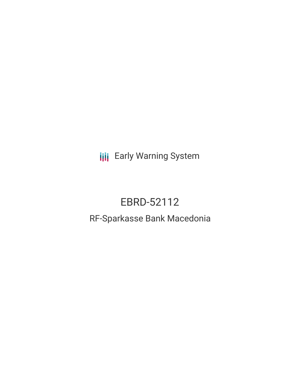**III** Early Warning System

# EBRD-52112

# RF-Sparkasse Bank Macedonia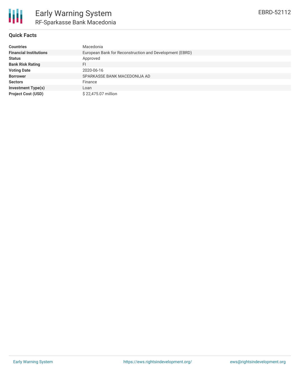

## **Quick Facts**

| <b>Countries</b>              | Macedonia                                               |
|-------------------------------|---------------------------------------------------------|
| <b>Financial Institutions</b> | European Bank for Reconstruction and Development (EBRD) |
| <b>Status</b>                 | Approved                                                |
| <b>Bank Risk Rating</b>       | FI.                                                     |
| <b>Voting Date</b>            | 2020-06-16                                              |
| <b>Borrower</b>               | SPARKASSE BANK MACEDONIJA AD                            |
| <b>Sectors</b>                | Finance                                                 |
| <b>Investment Type(s)</b>     | Loan                                                    |
| <b>Project Cost (USD)</b>     | \$22,475.07 million                                     |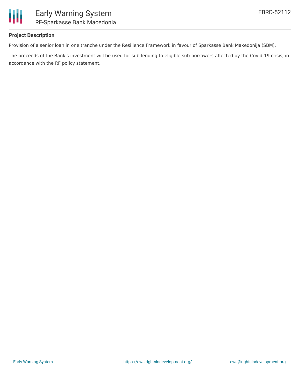

## **Project Description**

Provision of a senior loan in one tranche under the Resilience Framework in favour of Sparkasse Bank Makedonija (SBM).

The proceeds of the Bank's investment will be used for sub-lending to eligible sub-borrowers affected by the Covid-19 crisis, in accordance with the RF policy statement.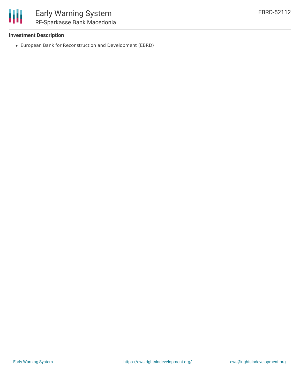

## **Investment Description**

European Bank for Reconstruction and Development (EBRD)